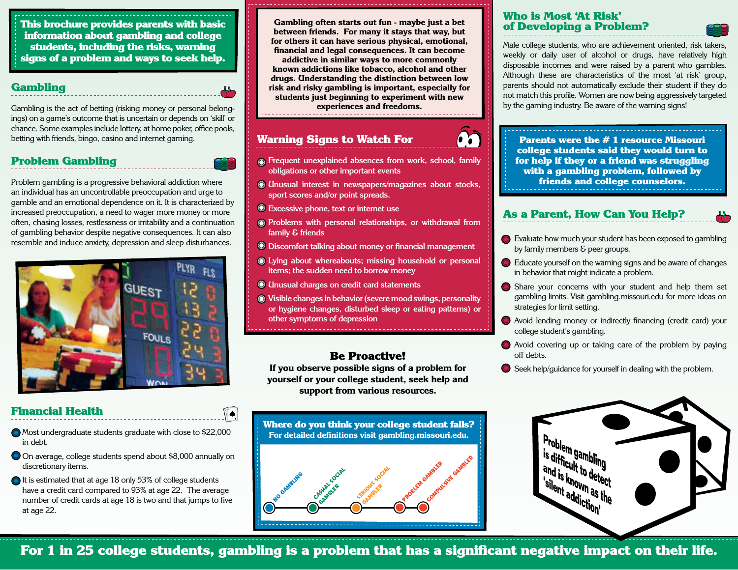This brochure provides parents with basic information about gambling and college students, including the risks, warning signs of a problem and ways to seek help.

#### Gambling

Gambling is the act of betting (risking money or personal belongings) on a game's outcome that is uncertain or depends on 'skill' or chance. Some examples include lottery, at home poker, office pools, betting with friends, bingo, casino and internet gaming.

### Problem Gambling

Problem gambling is a progressive behavioral addiction where an individual has an uncontrollable preoccupation and urge to gamble and an emotional dependence on it. It is characterized by increased preoccupation, a need to wager more money or more often, chasing losses, restlessness or irritability and a continuation of gambling behavior despite negative consequences. It can also resemble and induce anxiety, depression and sleep disturbances.



#### **Gambling often starts out fun - maybe just a bet between friends. For many it stays that way, but for others it can have serious physical, emotional, financial and legal consequences. It can become**

**addictive in similar ways to more commonly known addictions like tobacco, alcohol and other drugs. Understanding the distinction between low risk and risky gambling is important, especially for students just beginning to experiment with new** 

**experiences and freedoms.**

## Warning Signs to Watch For

- **Frequent unexplained absences from work, school, family obligations or other important events**
- **Unusual interest in newspapers/magazines about stocks, sport scores and/or point spreads.**
- **Excessive phone, text or internet use**
- **Problems with personal relationships, or withdrawal from family & friends**
- **Discomfort talking about money or financial management**
- **Lying about whereabouts; missing household or personal items; the sudden need to borrow money**
- **Unusual charges on credit card statements**
- **Visible changes in behavior (severe mood swings, personality or hygiene changes, disturbed sleep or eating patterns) or other symptoms of depression**

## Be Proactive!

**If you observe possible signs of a problem for yourself or your college student, seek help and support from various resources.**

Where do you think your college student falls? **For detailed definitions visit gambling.missouri.edu.**



### Who is Most 'At Risk' of Developing a Problem?

Male college students, who are achievement oriented, risk takers, weekly or daily user of alcohol or drugs, have relatively high disposable incomes and were raised by a parent who gambles. Although these are characteristics of the most 'at risk' group, parents should not automatically exclude their student if they do not match this profile. Women are now being aggressively targeted by the gaming industry. Be aware of the warning signs!

Parents were the # 1 resource Missouri college students said they would turn to for help if they or a friend was struggling with a gambling problem, followed by friends and college counselors.

# As a Parent, How Can You Help?

- Evaluate how much your student has been exposed to gambling by family members & peer groups.
- Educate yourself on the warning signs and be aware of changes in behavior that might indicate a problem.
- Share your concerns with your student and help them set gambling limits. Visit gambling.missouri.edu for more ideas on strategies for limit setting.
- Avoid lending money or indirectly financing (credit card) your college student's gambling.
- Avoid covering up or taking care of the problem by paying off debts.
- Seek help/guidance for yourself in dealing with the problem.



For 1 in 25 college students, gambling is a problem that has a significant negative impact on their life.

## Financial Health

- Most undergraduate students graduate with close to \$22,000 in debt.
- On average, college students spend about \$8,000 annually on discretionary items.
- $\bigcirc$  It is estimated that at age 18 only 53% of college students have a credit card compared to 93% at age 22. The average number of credit cards at age 18 is two and that jumps to five at age 22.